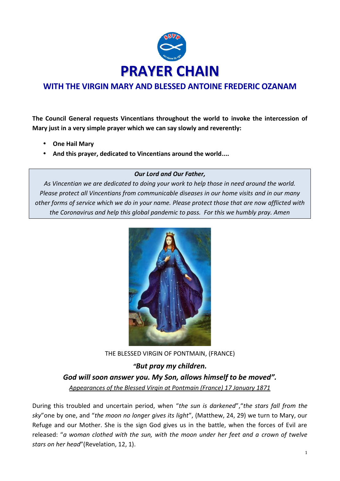

## **WITH THE VIRGIN MARY AND BLESSED ANTOINE FREDERIC OZANAM**

**The Council General requests Vincentians throughout the world to invoke the intercession of Mary just in a very simple prayer which we can say slowly and reverently:**

- **One Hail Mary**
- **And this prayer, dedicated to Vincentians around the world....**

## *Our Lord and Our Father,*

*As Vincentian we are dedicated to doing your work to help those in need around the world. Please protect all Vincentians from communicable diseases in our home visits and in our many other forms of service which we do in your name. Please protect those that are now afflicted with the Coronavirus and help this global pandemic to pass. For this we humbly pray. Amen*



THE BLESSED VIRGIN OF PONTMAIN, (FRANCE)

*"But pray my children. God will soon answer you. My Son, allows himself to be moved". Appearances of the Blessed Virgin at Pontmain (France) 17 January 1871*

During this troubled and uncertain period, when "*the sun is darkened*","*the stars fall from the sky*"one by one, and "*the moon no longer gives its light*", (Matthew, 24, 29) we turn to Mary, our Refuge and our Mother. She is the sign God gives us in the battle, when the forces of Evil are released: "*a woman clothed with the sun, with the moon under her feet and a crown of twelve stars on her head*"(Revelation, 12, 1).